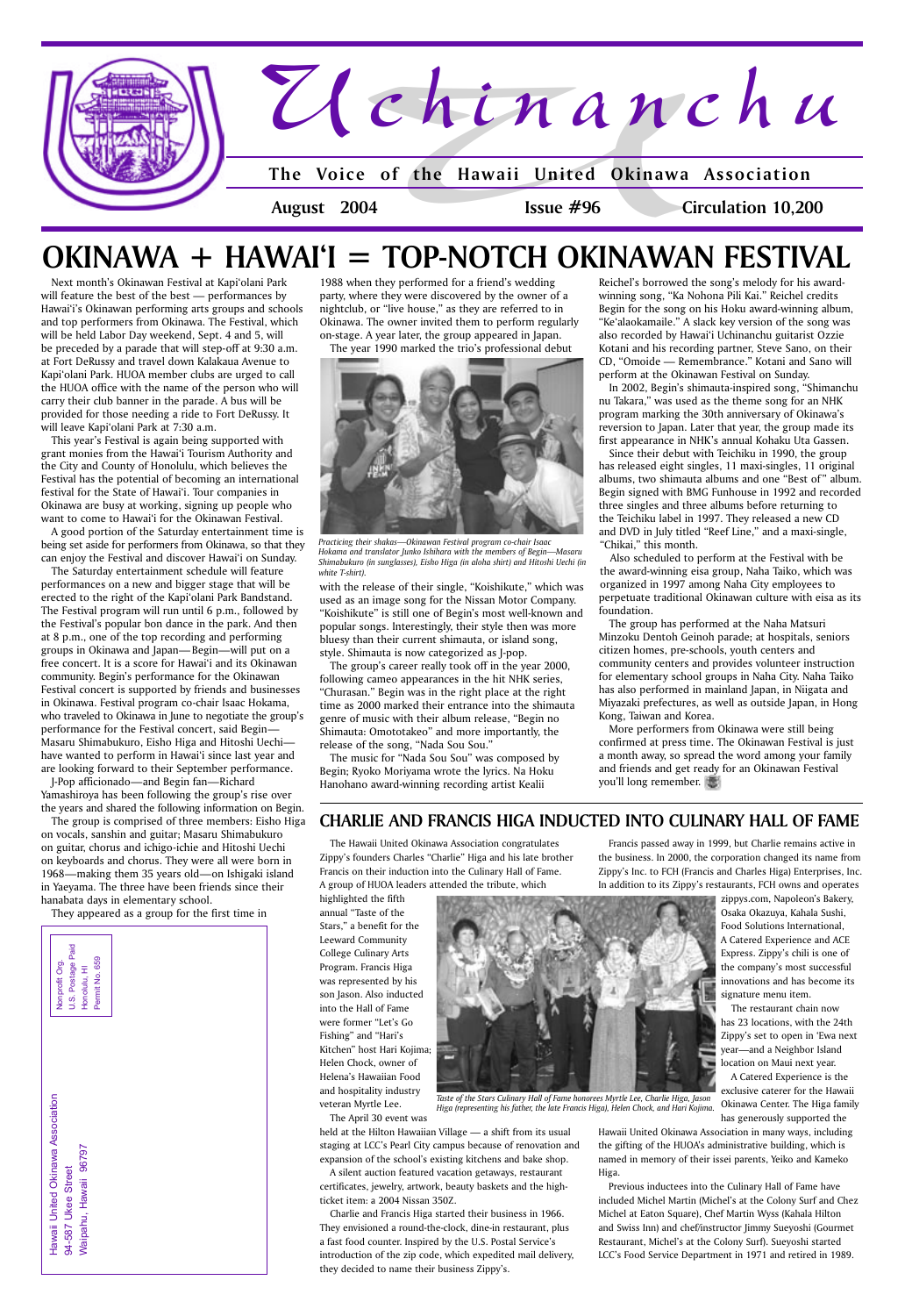Francis passed away in 1999, but Charlie remains active in the business. In 2000, the corporation changed its name from Zippy's Inc. to FCH (Francis and Charles Higa) Enterprises, Inc. In addition to its Zippy's restaurants, FCH owns and operates

zippys.com, Napoleon's Bakery, Osaka Okazuya, Kahala Sushi, Food Solutions International, A Catered Experience and ACE Express. Zippy's chili is one of the company's most successful innovations and has become its signature menu item.

The restaurant chain now has 23 locations, with the 24th



exclusive caterer for the Hawaii Okinawa Center. The Higa family has generously supported the Hawaii United Okinawa Association in many ways, including the gifting of the HUOA's administrative building, which is named in memory of their issei parents, Yeiko and Kameko Higa.

Previous inductees into the Culinary Hall of Fame have included Michel Martin (Michel's at the Colony Surf and Chez Michel at Eaton Square), Chef Martin Wyss (Kahala Hilton and Swiss Inn) and chef/instructor Jimmy Sueyoshi (Gourmet Restaurant, Michel's at the Colony Surf). Sueyoshi started LCC's Food Service Department in 1971 and retired in 1989.

Hawaii United Okinawa Association Hawaii United Okinawa Association Waipahu, Hawaii 96797 Waipahu, Hawaii 96797 94-587 Ukee Street 94-587 Ukee Street





Next month's Okinawan Festival at Kapi'olani Park will feature the best of the best - performances by Hawai'i's Okinawan performing arts groups and schools and top performers from Okinawa. The Festival, which will be held Labor Day weekend, Sept. 4 and 5, will be preceded by a parade that will step-off at 9:30 a.m. at Fort DeRussy and travel down Kalakaua Avenue to Kapi'olani Park. HUOA member clubs are urged to call the HUOA office with the name of the person who will carry their club banner in the parade. A bus will be provided for those needing a ride to Fort DeRussy. It will leave Kapi'olani Park at 7:30 a.m.

This year's Festival is again being supported with grant monies from the Hawai'i Tourism Authority and the City and County of Honolulu, which believes the Festival has the potential of becoming an international festival for the State of Hawai'i. Tour companies in Okinawa are busy at working, signing up people who want to come to Hawai'i for the Okinawan Festival.

A good portion of the Saturday entertainment time is being set aside for performers from Okinawa, so that they can enjoy the Festival and discover Hawai'i on Sunday.

The Saturday entertainment schedule will feature performances on a new and bigger stage that will be erected to the right of the Kapi'olani Park Bandstand. The Festival program will run until 6 p.m., followed by the Festival's popular bon dance in the park. And then at 8 p.m., one of the top recording and performing groups in Okinawa and Japan—Begin—will put on a free concert. It is a score for Hawai'i and its Okinawan community. Begin's performance for the Okinawan Festival concert is supported by friends and businesses in Okinawa. Festival program co-chair Isaac Hokama, who traveled to Okinawa in June to negotiate the group's performance for the Festival concert, said Begin-Masaru Shimabukuro, Eisho Higa and Hitoshi Uechi have wanted to perform in Hawai'i since last year and are looking forward to their September performance.

J-Pop afficionado — and Begin fan — Richard Yamashiroya has been following the group's rise over the years and shared the following information on Begin.

The group is comprised of three members: Eisho Higa on vocals, sanshin and guitar; Masaru Shimabukuro on guitar, chorus and ichigo-ichie and Hitoshi Uechi on keyboards and chorus. They were all were born in 1968 — making them 35 years old — on Ishigaki island in Yaeyama. The three have been friends since their hanabata days in elementary school.

They appeared as a group for the first time in

1988 when they performed for a friend's wedding party, where they were discovered by the owner of a nightclub, or "live house," as they are referred to in Okinawa. The owner invited them to perform regularly on-stage. A year later, the group appeared in Japan. The year 1990 marked the trio's professional debut

with the release of their single, "Koishikute," which was used as an image song for the Nissan Motor Company. "Koishikute" is still one of Begin's most well-known and popular songs. Interestingly, their style then was more bluesy than their current shimauta, or island song, style. Shimauta is now categorized as J-pop.

The group's career really took off in the year 2000, following cameo appearances in the hit NHK series, "Churasan." Begin was in the right place at the right time as 2000 marked their entrance into the shimauta genre of music with their album release, "Begin no Shimauta: Omototakeo" and more importantly, the release of the song, "Nada Sou Sou."

The music for "Nada Sou Sou" was composed by Begin; Ryoko Moriyama wrote the lyrics. Na Hoku Hanohano award-winning recording artist Kealii

## **OKINAWA + HAWAI'I = TOP-NOTCH OKINAWAN FESTIVAL**

Reichel's borrowed the song's melody for his awardwinning song, "Ka Nohona Pili Kai." Reichel credits Begin for the song on his Hoku award-winning album, "Ke'alaokamaile." A slack key version of the song was also recorded by Hawai'i Uchinanchu guitarist Ozzie Kotani and his recording partner, Steve Sano, on their CD, "Omoide — Remembrance." Kotani and Sano will perform at the Okinawan Festival on Sunday.

In 2002, Begin's shimauta-inspired song, "Shimanchu nu Takara," was used as the theme song for an NHK program marking the 30th anniversary of Okinawa's reversion to Japan. Later that year, the group made its first appearance in NHK's annual Kohaku Uta Gassen.

Since their debut with Teichiku in 1990, the group has released eight singles, 11 maxi-singles, 11 original albums, two shimauta albums and one "Best of " album. Begin signed with BMG Funhouse in 1992 and recorded three singles and three albums before returning to the Teichiku label in 1997. They released a new CD and DVD in July titled "Reef Line," and a maxi-single, "Chikai," this month.

Also scheduled to perform at the Festival with be the award-winning eisa group, Naha Taiko, which was organized in 1997 among Naha City employees to perpetuate traditional Okinawan culture with eisa as its foundation.

The group has performed at the Naha Matsuri Minzoku Dentoh Geinoh parade; at hospitals, seniors citizen homes, pre-schools, youth centers and community centers and provides volunteer instruction for elementary school groups in Naha City. Naha Taiko has also performed in mainland Japan, in Niigata and Miyazaki prefectures, as well as outside Japan, in Hong Kong, Taiwan and Korea.

More performers from Okinawa were still being confirmed at press time. The Okinawan Festival is just a month away, so spread the word among your family and friends and get ready for an Okinawan Festival you'll long remember.

The Hawaii United Okinawa Association congratulates Zippy's founders Charles "Charlie" Higa and his late brother Francis on their induction into the Culinary Hall of Fame. A group of HUOA leaders attended the tribute, which

highlighted the fifth annual "Taste of the Stars," a benefit for the Leeward Community College Culinary Arts Program. Francis Higa was represented by his son Jason. Also inducted into the Hall of Fame were former "Let's Go

Fishing" and "Hari's Kitchen" host Hari Kojima; Helen Chock, owner of Helena's Hawaiian Food and hospitality industry veteran Myrtle Lee.

The April 30 event was

held at the Hilton Hawaiian Village — a shift from its usual staging at LCC's Pearl City campus because of renovation and expansion of the school's existing kitchens and bake shop.

A silent auction featured vacation getaways, restaurant certificates, jewelry, artwork, beauty baskets and the highticket item: a 2004 Nissan 350Z.

Charlie and Francis Higa started their business in 1966. They envisioned a round-the-clock, dine-in restaurant, plus a fast food counter. Inspired by the U.S. Postal Service's introduction of the zip code, which expedited mail delivery, they decided to name their business Zippy's.

### **CHARLIE AND FRANCIS HIGA INDUCTED INTO CULINARY HALL OF FAME**

*Taste of the Stars Culinary Hall of Fame honorees Myrtle Lee, Charlie Higa, Jason Higa (representing his father, the late Francis Higa), Helen Chock, and Hari Kojima.*



*Practicing their shakas—Okinawan Festival program co-chair Isaac Hokama and translator Junko Ishihara with the members of Begin—Masaru Shimabukuro (in sunglasses), Eisho Higa (in aloha shirt) and Hitoshi Uechi (in white T-shirt).*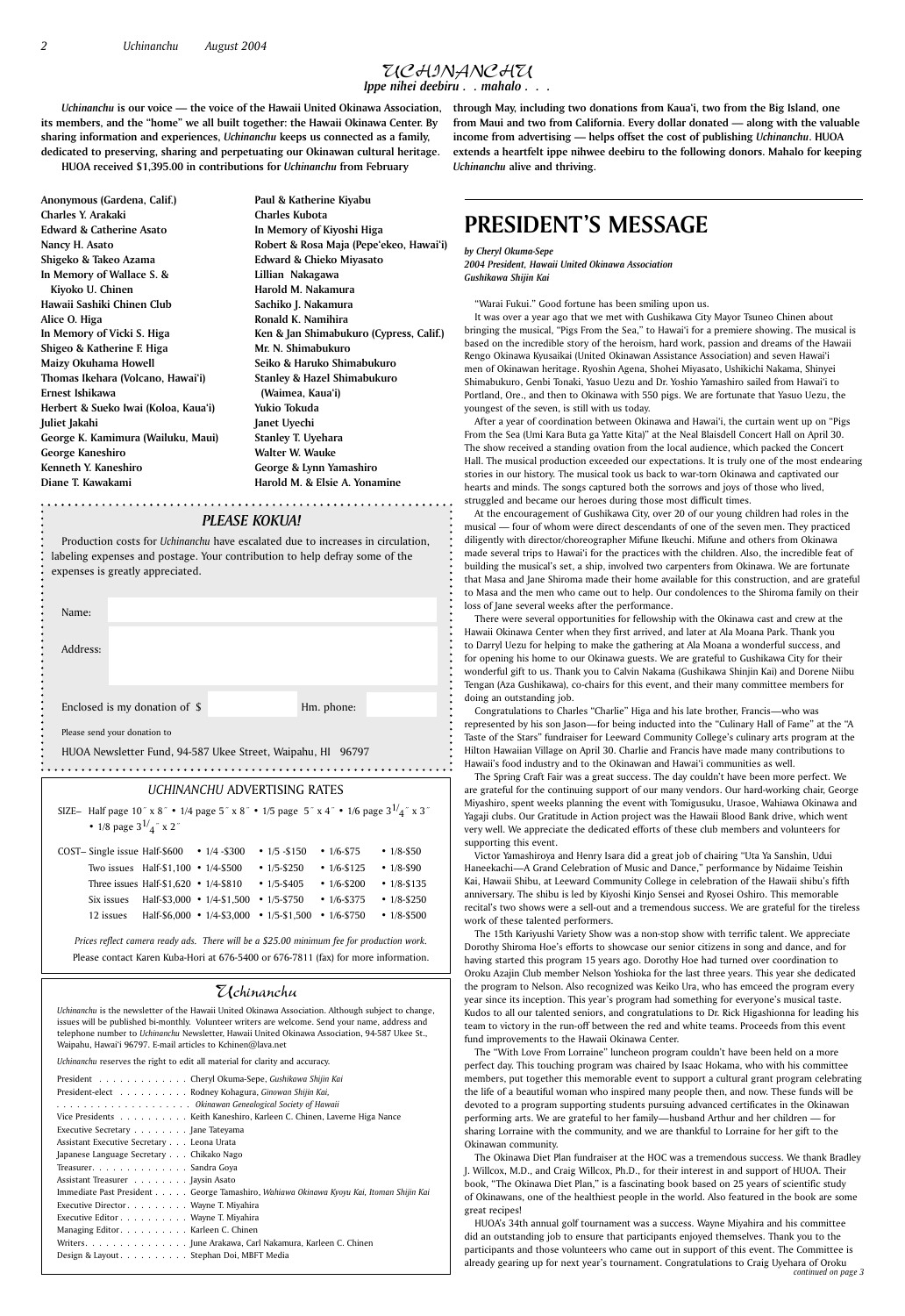### Uchinanchu

*Uchinanchu* is the newsletter of the Hawaii United Okinawa Association. Although subject to change, issues will be published bi-monthly. Volunteer writers are welcome. Send your name, address and

telephone number to *Uchinanchu* Newsletter, Hawaii United Okinawa Association, 94-587 Ukee St., Waipahu, Hawai'i 96797. E-mail articles to Kchinen@lava.net

*Uchinanchu* reserves the right to edit all material for clarity and accuracy.

| President Cheryl Okuma-Sepe, Gushikawa Shijin Kai                                       |
|-----------------------------------------------------------------------------------------|
| President-elect Rodney Kohagura, Ginowan Shijin Kai,                                    |
|                                                                                         |
| Vice Presidents Keith Kaneshiro, Karleen C. Chinen, Laverne Higa Nance                  |
| Executive Secretary Jane Tateyama                                                       |
| Assistant Executive Secretary Leona Urata                                               |
| Japanese Language Secretary Chikako Nago                                                |
| Treasurer. Sandra Goya                                                                  |
| Assistant Treasurer Jaysin Asato                                                        |
| Immediate Past President George Tamashiro, Wahiawa Okinawa Kyoyu Kai, Itoman Shijin Kai |
| Executive Director Wayne T. Miyahira                                                    |
| Executive Editor Wayne T. Miyahira                                                      |
| Managing Editor. Karleen C. Chinen                                                      |
| Writers. June Arakawa, Carl Nakamura, Karleen C. Chinen                                 |
| Design & Layout Stephan Doi, MBFT Media                                                 |

### *PLEASE KOKUA!*

Production costs for *Uchinanchu* have escalated due to increases in circulation, labeling expenses and postage. Your contribution to help defray some of the expenses is greatly appreciated.

| Name:                                                                                                                                                                                                                                                                                                                                                                                                                                                                                            |            |  |
|--------------------------------------------------------------------------------------------------------------------------------------------------------------------------------------------------------------------------------------------------------------------------------------------------------------------------------------------------------------------------------------------------------------------------------------------------------------------------------------------------|------------|--|
| Address:                                                                                                                                                                                                                                                                                                                                                                                                                                                                                         |            |  |
|                                                                                                                                                                                                                                                                                                                                                                                                                                                                                                  |            |  |
| Enclosed is my donation of \$                                                                                                                                                                                                                                                                                                                                                                                                                                                                    | Hm. phone: |  |
| Please send your donation to<br>$\mathbf{u} \cdot \mathbf{v} = \mathbf{u} \cdot \mathbf{v} = \mathbf{v} \cdot \mathbf{v} = \mathbf{v} \cdot \mathbf{v} = \mathbf{v} \cdot \mathbf{v} = \mathbf{v} \cdot \mathbf{v} \cdot \mathbf{v} = \mathbf{v} \cdot \mathbf{v} \cdot \mathbf{v} = \mathbf{v} \cdot \mathbf{v} \cdot \mathbf{v} \cdot \mathbf{v} = \mathbf{v} \cdot \mathbf{v} \cdot \mathbf{v} \cdot \mathbf{v} = \mathbf{v} \cdot \mathbf{v} \cdot \mathbf{v} \cdot \mathbf{v} = \mathbf{v}$ |            |  |

HUOA Newsletter Fund, 94-587 Ukee Street, Waipahu, HI 96797 

**Paul & Katherine Kiyabu Charles Kubota In Memory of Kiyoshi Higa Robert & Rosa Maja (Pepe'ekeo, Hawai'i) Edward & Chieko Miyasato Lillian Nakagawa Harold M. Nakamura Sachiko J. Nakamura Ronald K. Namihira Ken & Jan Shimabukuro (Cypress, Calif.) Mr. N. Shimabukuro Seiko & Haruko Shimabukuro Stanley & Hazel Shimabukuro (Waimea, Kaua'i) Yukio Tokuda Janet Uyechi Stanley T. Uyehara Walter W. Wauke George & Lynn Yamashiro Harold M. & Elsie A. Yonamine**

### *UCHINANCHU* ADVERTISING RATES

| SIZE- Half page 10" x 8" • 1/4 page 5" x 8" • 1/5 page 5" x 4" • 1/6 page $3^{1/2}$ " x 3"<br>• 1/8 page $3^{1/2}$ x 2" |                                              |                                                |                   |                   |                   |  |
|-------------------------------------------------------------------------------------------------------------------------|----------------------------------------------|------------------------------------------------|-------------------|-------------------|-------------------|--|
| COST- Single issue Half-\$600                                                                                           |                                              | $\cdot$ 1/4 - \$300                            | • $1/5 - $150$    | $\cdot$ 1/6-\$75  | • $1/8 - $50$     |  |
|                                                                                                                         | Two issues Half- $$1,100 \cdot 1/4$ - $$500$ |                                                | • $1/5 - $250$    | • $1/6 - $125$    | • $1/8 - $90$     |  |
|                                                                                                                         | Three issues Half- $$1,620$ • 1/4-\$810      |                                                | • $1/5 - $405$    | • $1/6 - $200$    | $• 1/8 - $135$    |  |
| Six issues                                                                                                              |                                              | Half-\$3,000 • $1/4$ -\$1,500                  | $\cdot$ 1/5-\$750 | $\cdot$ 1/6-\$375 | • $1/8 - $250$    |  |
| 12 issues                                                                                                               |                                              | Half-\$6,000 • $1/4$ -\$3,000 • $1/5$ -\$1,500 |                   | $\cdot$ 1/6-\$750 | $\cdot$ 1/8-\$500 |  |
| Prices reflect camera ready ads. There will be a \$25.00 minimum fee for production work.                               |                                              |                                                |                   |                   |                   |  |

Please contact Karen Kuba-Hori at 676-5400 or 676-7811 (fax) for more information.

### UCHINANCHU *Ippe nihei deebiru . . mahalo . . .*

**Anonymous (Gardena, Calif.) Charles Y. Arakaki Edward & Catherine Asato Nancy H. Asato Shigeko & Takeo Azama In Memory of Wallace S. & Kiyoko U. Chinen Hawaii Sashiki Chinen Club Alice O. Higa In Memory of Vicki S. Higa Shigeo & Katherine F. Higa Maizy Okuhama Howell Thomas Ikehara (Volcano, Hawai'i) Ernest Ishikawa Herbert & Sueko Iwai (Koloa, Kaua'i) Juliet Jakahi George K. Kamimura (Wailuku, Maui) George Kaneshiro Kenneth Y. Kaneshiro Diane T. Kawakami**

> Congratulations to Charles "Charlie" Higa and his late brother, Francis-who was represented by his son Jason-for being inducted into the "Culinary Hall of Fame" at the "A Taste of the Stars" fundraiser for Leeward Community College's culinary arts program at the Hilton Hawaiian Village on April 30. Charlie and Francis have made many contributions to Hawaii's food industry and to the Okinawan and Hawai'i communities as well.

*Uchinanchu* **is our voice — the voice of the Hawaii United Okinawa Association, its members, and the "home" we all built together: the Hawaii Okinawa Center. By sharing information and experiences,** *Uchinanchu* **keeps us connected as a family, dedicated to preserving, sharing and perpetuating our Okinawan cultural heritage.**

**HUOA received \$1,395.00 in contributions for** *Uchinanchu* **from February** 

*by Cheryl Okuma-Sepe 2004 President, Hawaii United Okinawa Association Gushikawa Shijin Kai*

"Warai Fukui." Good fortune has been smiling upon us.

It was over a year ago that we met with Gushikawa City Mayor Tsuneo Chinen about bringing the musical, "Pigs From the Sea," to Hawai'i for a premiere showing. The musical is based on the incredible story of the heroism, hard work, passion and dreams of the Hawaii Rengo Okinawa Kyusaikai (United Okinawan Assistance Association) and seven Hawai'i men of Okinawan heritage. Ryoshin Agena, Shohei Miyasato, Ushikichi Nakama, Shinyei Shimabukuro, Genbi Tonaki, Yasuo Uezu and Dr. Yoshio Yamashiro sailed from Hawai'i to Portland, Ore., and then to Okinawa with 550 pigs. We are fortunate that Yasuo Uezu, the youngest of the seven, is still with us today.

After a year of coordination between Okinawa and Hawai'i, the curtain went up on "Pigs From the Sea (Umi Kara Buta ga Yatte Kita)" at the Neal Blaisdell Concert Hall on April 30. The show received a standing ovation from the local audience, which packed the Concert Hall. The musical production exceeded our expectations. It is truly one of the most endearing stories in our history. The musical took us back to war-torn Okinawa and captivated our hearts and minds. The songs captured both the sorrows and joys of those who lived, struggled and became our heroes during those most difficult times.

At the encouragement of Gushikawa City, over 20 of our young children had roles in the musical — four of whom were direct descendants of one of the seven men. They practiced diligently with director/choreographer Mifune Ikeuchi. Mifune and others from Okinawa made several trips to Hawai'i for the practices with the children. Also, the incredible feat of building the musical's set, a ship, involved two carpenters from Okinawa. We are fortunate that Masa and Jane Shiroma made their home available for this construction, and are grateful to Masa and the men who came out to help. Our condolences to the Shiroma family on their loss of Jane several weeks after the performance.

There were several opportunities for fellowship with the Okinawa cast and crew at the Hawaii Okinawa Center when they first arrived, and later at Ala Moana Park. Thank you to Darryl Uezu for helping to make the gathering at Ala Moana a wonderful success, and for opening his home to our Okinawa guests. We are grateful to Gushikawa City for their wonderful gift to us. Thank you to Calvin Nakama (Gushikawa Shinjin Kai) and Dorene Niibu Tengan (Aza Gushikawa), co-chairs for this event, and their many committee members for doing an outstanding job.

The Spring Craft Fair was a great success. The day couldn't have been more perfect. We are grateful for the continuing support of our many vendors. Our hard-working chair, George Miyashiro, spent weeks planning the event with Tomigusuku, Urasoe, Wahiawa Okinawa and Yagaji clubs. Our Gratitude in Action project was the Hawaii Blood Bank drive, which went very well. We appreciate the dedicated efforts of these club members and volunteers for supporting this event.

Victor Yamashiroya and Henry Isara did a great job of chairing "Uta Ya Sanshin, Udui Haneekachi-A Grand Celebration of Music and Dance," performance by Nidaime Teishin Kai, Hawaii Shibu, at Leeward Community College in celebration of the Hawaii shibu's fifth anniversary. The shibu is led by Kiyoshi Kinjo Sensei and Ryosei Oshiro. This memorable recital's two shows were a sell-out and a tremendous success. We are grateful for the tireless work of these talented performers.

The 15th Kariyushi Variety Show was a non-stop show with terrific talent. We appreciate Dorothy Shiroma Hoe's efforts to showcase our senior citizens in song and dance, and for having started this program 15 years ago. Dorothy Hoe had turned over coordination to Oroku Azajin Club member Nelson Yoshioka for the last three years. This year she dedicated the program to Nelson. Also recognized was Keiko Ura, who has emceed the program every year since its inception. This year's program had something for everyone's musical taste. Kudos to all our talented seniors, and congratulations to Dr. Rick Higashionna for leading his team to victory in the run-off between the red and white teams. Proceeds from this event

fund improvements to the Hawaii Okinawa Center.

The "With Love From Lorraine" luncheon program couldn't have been held on a more perfect day. This touching program was chaired by Isaac Hokama, who with his committee members, put together this memorable event to support a cultural grant program celebrating the life of a beautiful woman who inspired many people then, and now. These funds will be devoted to a program supporting students pursuing advanced certificates in the Okinawan performing arts. We are grateful to her family — husband Arthur and her children — for sharing Lorraine with the community, and we are thankful to Lorraine for her gift to the Okinawan community.

The Okinawa Diet Plan fundraiser at the HOC was a tremendous success. We thank Bradley J. Willcox, M.D., and Craig Willcox, Ph.D., for their interest in and support of HUOA. Their book, "The Okinawa Diet Plan," is a fascinating book based on 25 years of scientific study of Okinawans, one of the healthiest people in the world. Also featured in the book are some great recipes!

### **PRESIDENT'S MESSAGE**

HUOA's 34th annual golf tournament was a success. Wayne Miyahira and his committee did an outstanding job to ensure that participants enjoyed themselves. Thank you to the participants and those volunteers who came out in support of this event. The Committee is already gearing up for next year's tournament. Congratulations to Craig Uyehara of Oroku *continued on page 3*

**through May, including two donations from Kaua'i, two from the Big Island, one from Maui and two from California. Every dollar donated — along with the valuable income from advertising — helps offset the cost of publishing** *Uchinanchu***. HUOA extends a heartfelt ippe nihwee deebiru to the following donors. Mahalo for keeping**  *Uchinanchu* **alive and thriving.**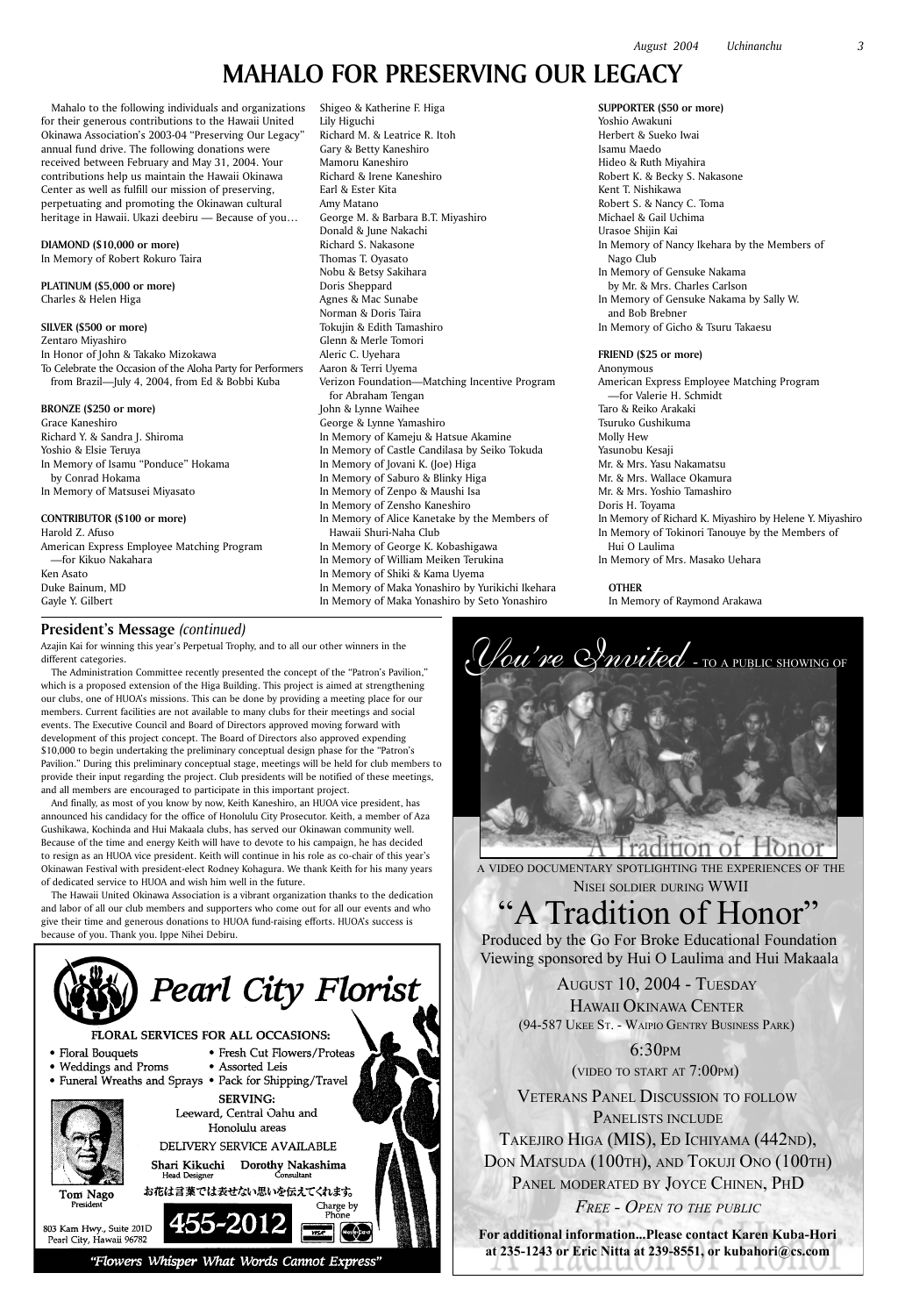Azajin Kai for winning this year's Perpetual Trophy, and to all our other winners in the different categories.

The Administration Committee recently presented the concept of the "Patron's Pavilion," which is a proposed extension of the Higa Building. This project is aimed at strengthening our clubs, one of HUOA's missions. This can be done by providing a meeting place for our members. Current facilities are not available to many clubs for their meetings and social events. The Executive Council and Board of Directors approved moving forward with development of this project concept. The Board of Directors also approved expending \$10,000 to begin undertaking the preliminary conceptual design phase for the "Patron's Pavilion." During this preliminary conceptual stage, meetings will be held for club members to provide their input regarding the project. Club presidents will be notified of these meetings, and all members are encouraged to participate in this important project.

And finally, as most of you know by now, Keith Kaneshiro, an HUOA vice president, has announced his candidacy for the office of Honolulu City Prosecutor. Keith, a member of Aza Gushikawa, Kochinda and Hui Makaala clubs, has served our Okinawan community well. Because of the time and energy Keith will have to devote to his campaign, he has decided to resign as an HUOA vice president. Keith will continue in his role as co-chair of this year's Okinawan Festival with president-elect Rodney Kohagura. We thank Keith for his many years of dedicated service to HUOA and wish him well in the future.

The Hawaii United Okinawa Association is a vibrant organization thanks to the dedication and labor of all our club members and supporters who come out for all our events and who give their time and generous donations to HUOA fund-raising efforts. HUOA's success is because of you. Thank you. Ippe Nihei Debiru.



• Assorted Leis

**SERVING:** Leeward, Central Oahu and Honolulu areas DELIVERY SERVICE AVAILABLE Shari Kikuchi Dorothy Nakashima

お花は言葉では表せない思いを伝えてくれます。

• Fresh Cut Flowers/Proteas

Consultant

Charge by Phone

Mastercard

A VIDEO DOCUMENTARY SPOTLIGHTING THE EXPERIENCES OF THE NISEI SOLDIER DURING WWII

## A Tradition of Honor"

Produced by the Go For Broke Educational Foundation Viewing sponsored by Hui O Laulima and Hui Makaala

> AUGUST 10, 2004 - TUESDAY HAWAII OKINAWA CENTER (94-587 UKEE ST. - WAIPIO GENTRY BUSINESS PARK)



### difion

### FLORAL SERVICES FOR ALL OCCASIONS:

- Floral Bouquets
- Weddings and Proms
- Funeral Wreaths and Sprays Pack for Shipping/Travel

Head Designer



Tom Nago President

803 Kam Hwy., Suite 201D Pearl City, Hawaii 96782

"Flowers Whisper What Words Cannot Express"

VETERANS PANEL DISCUSSION TO FOLLOW 6:30PM (VIDEO TO START AT 7:00PM) PANELISTS INCLUDE TAKEJIRO HIGA (MIS), ED ICHIYAMA (442ND), DON MATSUDA (100TH), AND TOKUJI ONO (100TH) PANEL MODERATED BY JOYCE CHINEN, PHD *FREE - OPEN TO THE PUBLIC*

**For additional information...Please contact Karen Kuba-Hori at 235-1243 or Eric Nitta at 239-8551, or kubahori@cs.com**

Mahalo to the following individuals and organizations for their generous contributions to the Hawaii United Okinawa Association's 2003-04 "Preserving Our Legacy" annual fund drive. The following donations were received between February and May 31, 2004. Your contributions help us maintain the Hawaii Okinawa Center as well as fulfill our mission of preserving, perpetuating and promoting the Okinawan cultural heritage in Hawaii. Ukazi deebiru — Because of you…

### **DIAMOND (\$10,000 or more)** In Memory of Robert Rokuro Taira

**PLATINUM (\$5,000 or more)** Charles & Helen Higa

### **SILVER (\$500 or more)**

Zentaro Miyashiro In Honor of John & Takako Mizokawa To Celebrate the Occasion of the Aloha Party for Performers from Brazil—July 4, 2004, from Ed & Bobbi Kuba

### **BRONZE (\$250 or more)**

Grace Kaneshiro Richard Y. & Sandra J. Shiroma Yoshio & Elsie Teruya In Memory of Isamu "Ponduce" Hokama by Conrad Hokama In Memory of Matsusei Miyasato

### **CONTRIBUTOR (\$100 or more)**

Harold Z. Afuso American Express Employee Matching Program —for Kikuo Nakahara Ken Asato Duke Bainum, MD Gayle Y. Gilbert

### **President's Message** *(continued)*

Shigeo & Katherine F. Higa

### Lily Higuchi Richard M. & Leatrice R. Itoh Gary & Betty Kaneshiro Mamoru Kaneshiro Richard & Irene Kaneshiro Earl & Ester Kita Amy Matano George M. & Barbara B.T. Miyashiro Donald & June Nakachi Richard S. Nakasone Thomas T. Oyasato Nobu & Betsy Sakihara Doris Sheppard Agnes & Mac Sunabe Norman & Doris Taira Tokujin & Edith Tamashiro Glenn & Merle Tomori Aleric C. Uyehara Aaron & Terri Uyema Verizon Foundation—Matching Incentive Program for Abraham Tengan John & Lynne Waihee George & Lynne Yamashiro In Memory of Kameju & Hatsue Akamine In Memory of Castle Candilasa by Seiko Tokuda In Memory of Jovani K. (Joe) Higa In Memory of Saburo & Blinky Higa In Memory of Zenpo & Maushi Isa In Memory of Zensho Kaneshiro In Memory of Alice Kanetake by the Members of Hawaii Shuri-Naha Club In Memory of George K. Kobashigawa In Memory of William Meiken Terukina In Memory of Shiki & Kama Uyema In Memory of Maka Yonashiro by Yurikichi Ikehara In Memory of Maka Yonashiro by Seto Yonashiro

**SUPPORTER (\$50 or more)** Yoshio Awakuni Herbert & Sueko Iwai Isamu Maedo Hideo & Ruth Miyahira Robert K. & Becky S. Nakasone Kent T. Nishikawa Robert S. & Nancy C. Toma Michael & Gail Uchima Urasoe Shijin Kai In Memory of Nancy Ikehara by the Members of Nago Club In Memory of Gensuke Nakama by Mr. & Mrs. Charles Carlson In Memory of Gensuke Nakama by Sally W. and Bob Brebner In Memory of Gicho & Tsuru Takaesu

### **FRIEND (\$25 or more)**

Anonymous American Express Employee Matching Program —for Valerie H. Schmidt Taro & Reiko Arakaki Tsuruko Gushikuma Molly Hew Yasunobu Kesaji Mr. & Mrs. Yasu Nakamatsu Mr. & Mrs. Wallace Okamura Mr. & Mrs. Yoshio Tamashiro Doris H. Toyama In Memory of Richard K. Miyashiro by Helene Y. Miyashiro In Memory of Tokinori Tanouye by the Members of Hui O Laulima In Memory of Mrs. Masako Uehara

**OTHER**

In Memory of Raymond Arakawa

### **MAHALO FOR PRESERVING OUR LEGACY**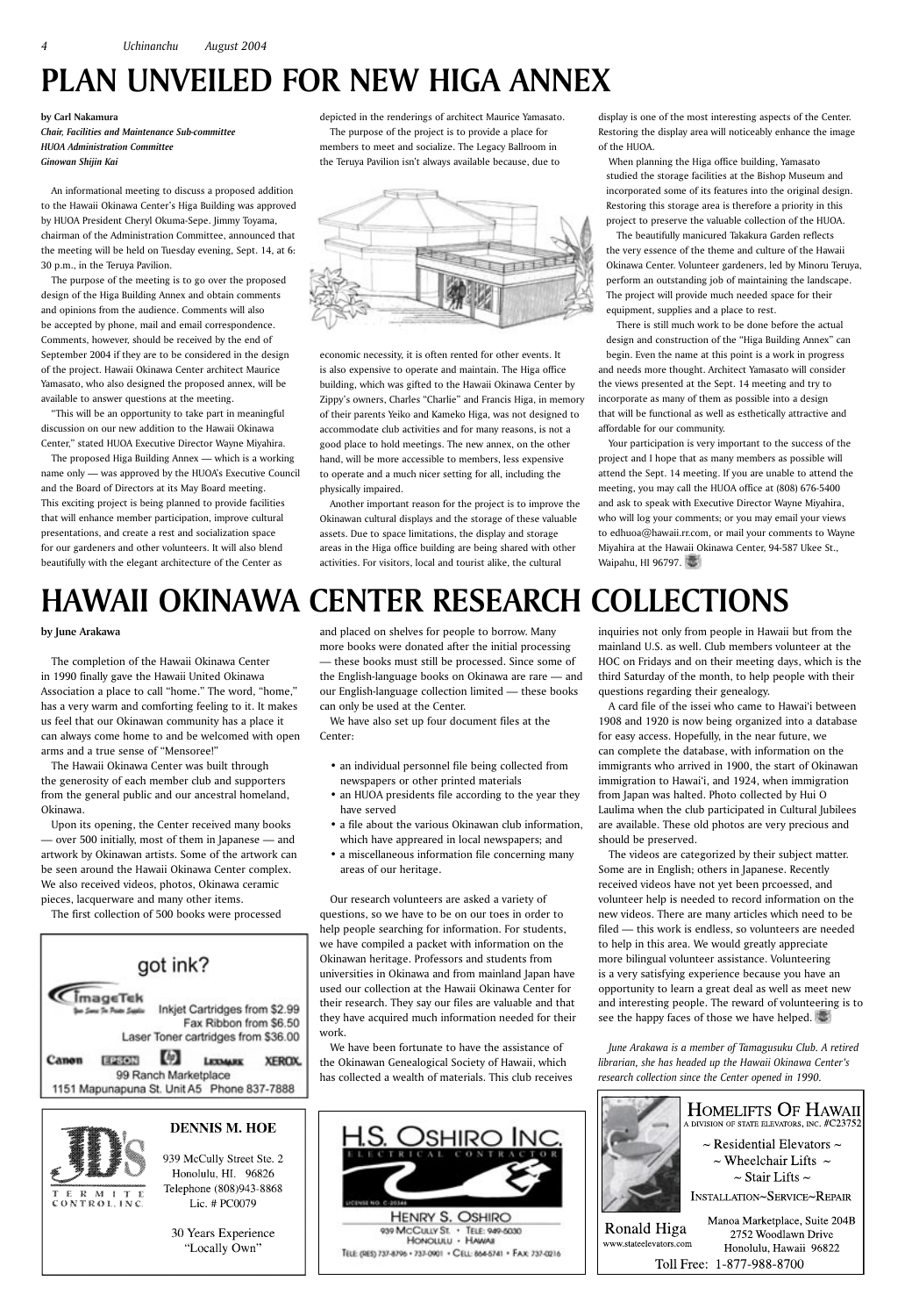**by June Arakawa**

The completion of the Hawaii Okinawa Center in 1990 finally gave the Hawaii United Okinawa Association a place to call "home." The word, "home," has a very warm and comforting feeling to it. It makes us feel that our Okinawan community has a place it can always come home to and be welcomed with open arms and a true sense of "Mensoree!"

The Hawaii Okinawa Center was built through the generosity of each member club and supporters from the general public and our ancestral homeland, Okinawa.

Upon its opening, the Center received many books — over 500 initially, most of them in Japanese — and artwork by Okinawan artists. Some of the artwork can be seen around the Hawaii Okinawa Center complex. We also received videos, photos, Okinawa ceramic pieces, lacquerware and many other items.

The first collection of 500 books were processed



and placed on shelves for people to borrow. Many more books were donated after the initial processing — these books must still be processed. Since some of the English-language books on Okinawa are rare — and our English-language collection limited — these books can only be used at the Center.

We have also set up four document files at the Center:

- an individual personnel file being collected from newspapers or other printed materials
- an HUOA presidents file according to the year they have served
- a file about the various Okinawan club information, which have appreared in local newspapers; and
- a miscellaneous information file concerning many areas of our heritage.

The videos are categorized by their subject matter. Some are in English; others in Japanese. Recently received videos have not yet been prcoessed, and volunteer help is needed to record information on the new videos. There are many articles which need to be filed — this work is endless, so volunteers are needed to help in this area. We would greatly appreciate more bilingual volunteer assistance. Volunteering is a very satisfying experience because you have an opportunity to learn a great deal as well as meet new and interesting people. The reward of volunteering is to see the happy faces of those we have helped.

Our research volunteers are asked a variety of questions, so we have to be on our toes in order to help people searching for information. For students, we have compiled a packet with information on the Okinawan heritage. Professors and students from universities in Okinawa and from mainland Japan have used our collection at the Hawaii Okinawa Center for their research. They say our files are valuable and that they have acquired much information needed for their

work.

We have been fortunate to have the assistance of the Okinawan Genealogical Society of Hawaii, which has collected a wealth of materials. This club receives inquiries not only from people in Hawaii but from the mainland U.S. as well. Club members volunteer at the HOC on Fridays and on their meeting days, which is the third Saturday of the month, to help people with their questions regarding their genealogy.

A card file of the issei who came to Hawai'i between 1908 and 1920 is now being organized into a database for easy access. Hopefully, in the near future, we can complete the database, with information on the immigrants who arrived in 1900, the start of Okinawan immigration to Hawai'i, and 1924, when immigration from Japan was halted. Photo collected by Hui O Laulima when the club participated in Cultural Jubilees are available. These old photos are very precious and should be preserved.

*June Arakawa is a member of Tamagusuku Club. A retired librarian, she has headed up the Hawaii Okinawa Center's research collection since the Center opened in 1990.*





939 McCully Street Ste. 2 Honolulu, HI. 96826 Telephone (808)943-8868 Lic. # PC0079

30 Years Experience "Locally Own"



Your participation is very important to the success of the project and I hope that as many members as possible will attend the Sept. 14 meeting. If you are unable to attend the meeting, you may call the HUOA office at (808) 676-5400 and ask to speak with Executive Director Wayne Miyahira, who will log your comments; or you may email your views to edhuoa@hawaii.rr.com, or mail your comments to Wayne Miyahira at the Hawaii Okinawa Center, 94-587 Ukee St., Waipahu, HI 96797.

### **by Carl Nakamura** *Chair, Facilities and Maintenance Sub-committee HUOA Administration Committee Ginowan Shijin Kai*

An informational meeting to discuss a proposed addition to the Hawaii Okinawa Center's Higa Building was approved by HUOA President Cheryl Okuma-Sepe. Jimmy Toyama, chairman of the Administration Committee, announced that the meeting will be held on Tuesday evening, Sept. 14, at 6: 30 p.m., in the Teruya Pavilion.

The purpose of the meeting is to go over the proposed design of the Higa Building Annex and obtain comments and opinions from the audience. Comments will also be accepted by phone, mail and email correspondence. Comments, however, should be received by the end of September 2004 if they are to be considered in the design of the project. Hawaii Okinawa Center architect Maurice Yamasato, who also designed the proposed annex, will be available to answer questions at the meeting.

"This will be an opportunity to take part in meaningful discussion on our new addition to the Hawaii Okinawa Center," stated HUOA Executive Director Wayne Miyahira.

The proposed Higa Building Annex — which is a working name only — was approved by the HUOA's Executive Council and the Board of Directors at its May Board meeting. This exciting project is being planned to provide facilities that will enhance member participation, improve cultural presentations, and create a rest and socialization space for our gardeners and other volunteers. It will also blend beautifully with the elegant architecture of the Center as

depicted in the renderings of architect Maurice Yamasato. The purpose of the project is to provide a place for members to meet and socialize. The Legacy Ballroom in the Teruya Pavilion isn't always available because, due to



economic necessity, it is often rented for other events. It is also expensive to operate and maintain. The Higa office building, which was gifted to the Hawaii Okinawa Center by Zippy's owners, Charles "Charlie" and Francis Higa, in memory of their parents Yeiko and Kameko Higa, was not designed to accommodate club activities and for many reasons, is not a good place to hold meetings. The new annex, on the other hand, will be more accessible to members, less expensive to operate and a much nicer setting for all, including the physically impaired.

Another important reason for the project is to improve the Okinawan cultural displays and the storage of these valuable assets. Due to space limitations, the display and storage areas in the Higa office building are being shared with other activities. For visitors, local and tourist alike, the cultural

display is one of the most interesting aspects of the Center. Restoring the display area will noticeably enhance the image of the HUOA.

When planning the Higa office building, Yamasato studied the storage facilities at the Bishop Museum and incorporated some of its features into the original design. Restoring this storage area is therefore a priority in this project to preserve the valuable collection of the HUOA.

The beautifully manicured Takakura Garden reflects the very essence of the theme and culture of the Hawaii Okinawa Center. Volunteer gardeners, led by Minoru Teruya, perform an outstanding job of maintaining the landscape. The project will provide much needed space for their equipment, supplies and a place to rest.

There is still much work to be done before the actual design and construction of the "Higa Building Annex" can begin. Even the name at this point is a work in progress and needs more thought. Architect Yamasato will consider the views presented at the Sept. 14 meeting and try to incorporate as many of them as possible into a design that will be functional as well as esthetically attractive and affordable for our community.

# **HAWAII OKINAWA CENTER RESEARCH COLLECTIONS**

# **PLAN UNVEILED FOR NEW HIGA ANNEX**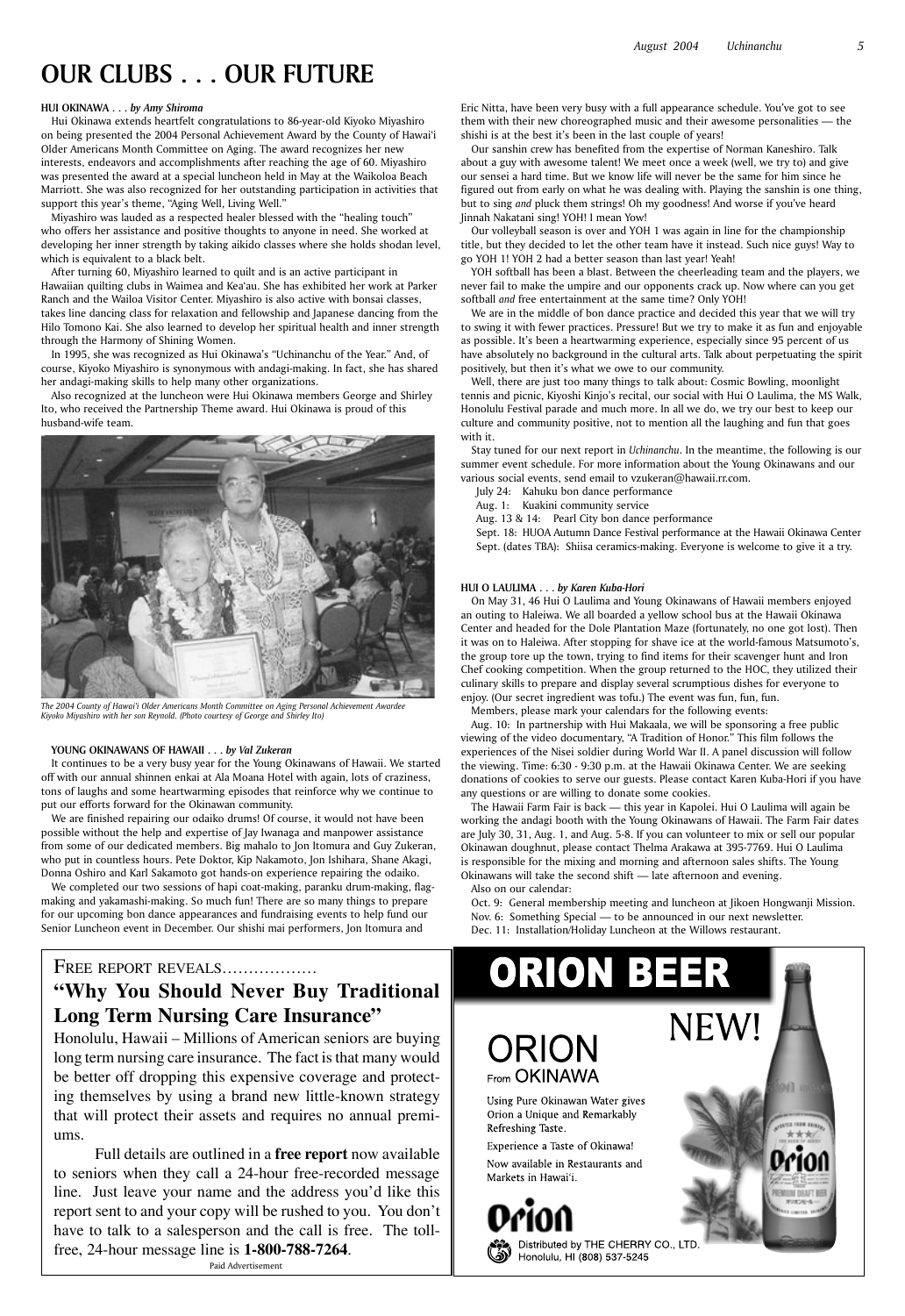### **HUI OKINAWA . . .** *by Amy Shiroma*

Hui Okinawa extends heartfelt congratulations to 86-year-old Kiyoko Miyashiro on being presented the 2004 Personal Achievement Award by the County of Hawai'i Older Americans Month Committee on Aging. The award recognizes her new interests, endeavors and accomplishments after reaching the age of 60. Miyashiro was presented the award at a special luncheon held in May at the Waikoloa Beach Marriott. She was also recognized for her outstanding participation in activities that support this year's theme, "Aging Well, Living Well."

Miyashiro was lauded as a respected healer blessed with the "healing touch" who offers her assistance and positive thoughts to anyone in need. She worked at developing her inner strength by taking aikido classes where she holds shodan level, which is equivalent to a black belt.

After turning 60, Miyashiro learned to quilt and is an active participant in Hawaiian quilting clubs in Waimea and Kea'au. She has exhibited her work at Parker Ranch and the Wailoa Visitor Center. Miyashiro is also active with bonsai classes, takes line dancing class for relaxation and fellowship and Japanese dancing from the Hilo Tomono Kai. She also learned to develop her spiritual health and inner strength through the Harmony of Shining Women.

In 1995, she was recognized as Hui Okinawa's "Uchinanchu of the Year." And, of course, Kiyoko Miyashiro is synonymous with andagi-making. In fact, she has shared her andagi-making skills to help many other organizations.

Also recognized at the luncheon were Hui Okinawa members George and Shirley Ito, who received the Partnership Theme award. Hui Okinawa is proud of this husband-wife team.

#### **YOUNG OKINAWANS OF HAWAII . . .** *by Val Zukeran*

It continues to be a very busy year for the Young Okinawans of Hawaii. We started off with our annual shinnen enkai at Ala Moana Hotel with again, lots of craziness, tons of laughs and some heartwarming episodes that reinforce why we continue to put our efforts forward for the Okinawan community.

We are finished repairing our odaiko drums! Of course, it would not have been possible without the help and expertise of Jay Iwanaga and manpower assistance from some of our dedicated members. Big mahalo to Jon Itomura and Guy Zukeran, who put in countless hours. Pete Doktor, Kip Nakamoto, Jon Ishihara, Shane Akagi, Donna Oshiro and Karl Sakamoto got hands-on experience repairing the odaiko.

We completed our two sessions of hapi coat-making, paranku drum-making, flagmaking and yakamashi-making. So much fun! There are so many things to prepare for our upcoming bon dance appearances and fundraising events to help fund our Senior Luncheon event in December. Our shishi mai performers, Jon Itomura and

Eric Nitta, have been very busy with a full appearance schedule. You've got to see them with their new choreographed music and their awesome personalities — the shishi is at the best it's been in the last couple of years!

Our sanshin crew has benefited from the expertise of Norman Kaneshiro. Talk about a guy with awesome talent! We meet once a week (well, we try to) and give our sensei a hard time. But we know life will never be the same for him since he figured out from early on what he was dealing with. Playing the sanshin is one thing, but to sing *and* pluck them strings! Oh my goodness! And worse if you've heard Jinnah Nakatani sing! YOH! I mean Yow!

Our volleyball season is over and YOH 1 was again in line for the championship title, but they decided to let the other team have it instead. Such nice guys! Way to go YOH 1! YOH 2 had a better season than last year! Yeah!

YOH softball has been a blast. Between the cheerleading team and the players, we never fail to make the umpire and our opponents crack up. Now where can you get softball *and* free entertainment at the same time? Only YOH!

We are in the middle of bon dance practice and decided this year that we will try to swing it with fewer practices. Pressure! But we try to make it as fun and enjoyable as possible. It's been a heartwarming experience, especially since 95 percent of us have absolutely no background in the cultural arts. Talk about perpetuating the spirit positively, but then it's what we owe to our community.

Well, there are just too many things to talk about: Cosmic Bowling, moonlight tennis and picnic, Kiyoshi Kinjo's recital, our social with Hui O Laulima, the MS Walk, Honolulu Festival parade and much more. In all we do, we try our best to keep our culture and community positive, not to mention all the laughing and fun that goes with it.

Stay tuned for our next report in *Uchinanchu*. In the meantime, the following is our summer event schedule. For more information about the Young Okinawans and our various social events, send email to vzukeran@hawaii.rr.com.

July 24: Kahuku bon dance performance

Aug. 1: Kuakini community service

Aug. 13 & 14: Pearl City bon dance performance

Sept. 18: HUOA Autumn Dance Festival performance at the Hawaii Okinawa Center Sept. (dates TBA): Shiisa ceramics-making. Everyone is welcome to give it a try.

### **HUI O LAULIMA . . .** *by Karen Kuba-Hori*

On May 31, 46 Hui O Laulima and Young Okinawans of Hawaii members enjoyed an outing to Haleiwa. We all boarded a yellow school bus at the Hawaii Okinawa Center and headed for the Dole Plantation Maze (fortunately, no one got lost). Then it was on to Haleiwa. After stopping for shave ice at the world-famous Matsumoto's, the group tore up the town, trying to find items for their scavenger hunt and Iron Chef cooking competition. When the group returned to the HOC, they utilized their culinary skills to prepare and display several scrumptious dishes for everyone to enjoy. (Our secret ingredient was tofu.) The event was fun, fun, fun.

Members, please mark your calendars for the following events:

Aug. 10: In partnership with Hui Makaala, we will be sponsoring a free public viewing of the video documentary, "A Tradition of Honor." This film follows the experiences of the Nisei soldier during World War II. A panel discussion will follow the viewing. Time: 6:30 - 9:30 p.m. at the Hawaii Okinawa Center. We are seeking donations of cookies to serve our guests. Please contact Karen Kuba-Hori if you have any questions or are willing to donate some cookies.

The Hawaii Farm Fair is back — this year in Kapolei. Hui O Laulima will again be working the andagi booth with the Young Okinawans of Hawaii. The Farm Fair dates are July 30, 31, Aug. 1, and Aug. 5-8. If you can volunteer to mix or sell our popular Okinawan doughnut, please contact Thelma Arakawa at 395-7769. Hui O Laulima is responsible for the mixing and morning and afternoon sales shifts. The Young Okinawans will take the second shift — late afternoon and evening.

Also on our calendar:

Oct. 9: General membership meeting and luncheon at Jikoen Hongwanji Mission. Nov. 6: Something Special — to be announced in our next newsletter. Dec. 11: Installation/Holiday Luncheon at the Willows restaurant.

FREE REPORT REVEALS..................

**"Why You Should Never Buy Traditional Long Term Nursing Care Insurance"**



Honolulu, Hawaii – Millions of American seniors are buying long term nursing care insurance. The fact is that many would be better off dropping this expensive coverage and protecting themselves by using a brand new little-known strategy that will protect their assets and requires no annual premiums.

Full details are outlined in a **free report** now available to seniors when they call a 24-hour free-recorded message line. Just leave your name and the address you'd like this report sent to and your copy will be rushed to you. You don't have to talk to a salesperson and the call is free. The tollfree, 24-hour message line is **1-800-788-7264**. Paid Advertisement

### RION From OKINAWA

Using Pure Okinawan Water gives Orion a Unique and Remarkably Refreshing Taste.

Experience a Taste of Okinawa! Now available in Restaurants and Markets in Hawai'i.



Distributed by THE CHERRY CO., LTD Honolulu, HI (808) 537-5245



*The 2004 County of Hawai'i Older Americans Month Committee on Aging Personal Achievement Awardee Kiyoko Miyashiro with her son Reynold. (Photo courtesy of George and Shirley Ito)*

### **OUR CLUBS . . . OUR FUTURE**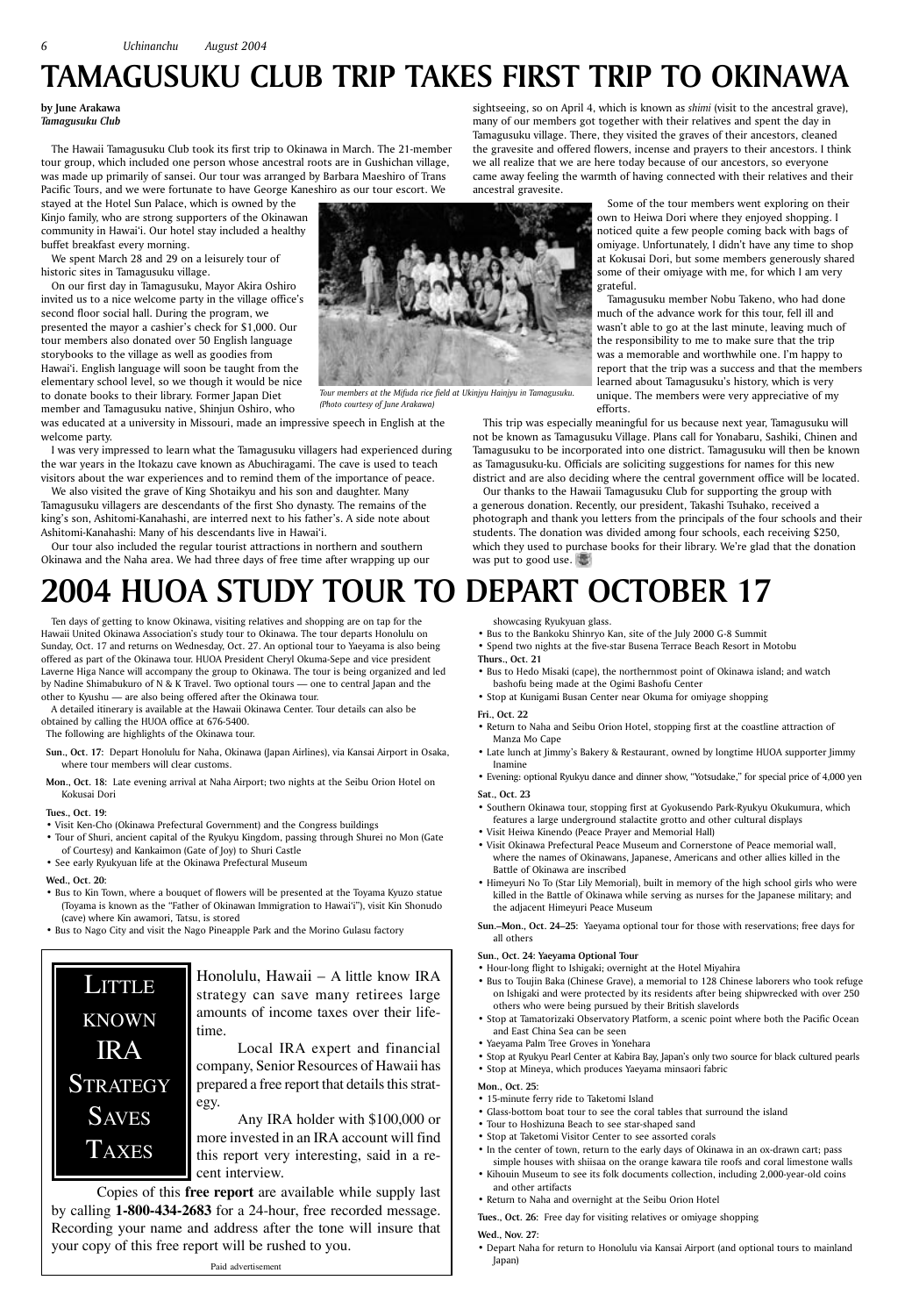Honolulu, Hawaii – A little know IRA strategy can save many retirees large amounts of income taxes over their life-

time.

Local IRA expert and financial company, Senior Resources of Hawaii has prepared a free report that details this strategy.

## LITTLE KNOWN IRA **STRATEGY SAVES** TAXES

Any IRA holder with \$100,000 or more invested in an IRA account will find this report very interesting, said in a recent interview.

 Copies of this **free report** are available while supply last by calling **1-800-434-2683** for a 24-hour, free recorded message. Recording your name and address after the tone will insure that your copy of this free report will be rushed to you.

We spent March 28 and 29 on a leisurely tour of historic sites in Tamagusuku village.

Paid advertisement

**by June Arakawa** *Tamagusuku Club*

The Hawaii Tamagusuku Club took its first trip to Okinawa in March. The 21-member tour group, which included one person whose ancestral roots are in Gushichan village, was made up primarily of sansei. Our tour was arranged by Barbara Maeshiro of Trans Pacific Tours, and we were fortunate to have George Kaneshiro as our tour escort. We

stayed at the Hotel Sun Palace, which is owned by the Kinjo family, who are strong supporters of the Okinawan community in Hawai'i. Our hotel stay included a healthy buffet breakfast every morning.

On our first day in Tamagusuku, Mayor Akira Oshiro invited us to a nice welcome party in the village office's second floor social hall. During the program, we presented the mayor a cashier's check for \$1,000. Our tour members also donated over 50 English language storybooks to the village as well as goodies from Hawai'i. English language will soon be taught from the elementary school level, so we though it would be nice to donate books to their library. Former Japan Diet member and Tamagusuku native, Shinjun Oshiro, who

was educated at a university in Missouri, made an impressive speech in English at the welcome party.

I was very impressed to learn what the Tamagusuku villagers had experienced during the war years in the Itokazu cave known as Abuchiragami. The cave is used to teach visitors about the war experiences and to remind them of the importance of peace.

> Our thanks to the Hawaii Tamagusuku Club for supporting the group with a generous donation. Recently, our president, Takashi Tsuhako, received a photograph and thank you letters from the principals of the four schools and their students. The donation was divided among four schools, each receiving \$250, which they used to purchase books for their library. We're glad that the donation was put to good use.

We also visited the grave of King Shotaikyu and his son and daughter. Many Tamagusuku villagers are descendants of the first Sho dynasty. The remains of the king's son, Ashitomi-Kanahashi, are interred next to his father's. A side note about Ashitomi-Kanahashi: Many of his descendants live in Hawai'i.

Our tour also included the regular tourist attractions in northern and southern Okinawa and the Naha area. We had three days of free time after wrapping up our

sightseeing, so on April 4, which is known as *shimi* (visit to the ancestral grave), many of our members got together with their relatives and spent the day in Tamagusuku village. There, they visited the graves of their ancestors, cleaned the gravesite and offered flowers, incense and prayers to their ancestors. I think we all realize that we are here today because of our ancestors, so everyone came away feeling the warmth of having connected with their relatives and their ancestral gravesite.

> Some of the tour members went exploring on their own to Heiwa Dori where they enjoyed shopping. I noticed quite a few people coming back with bags of omiyage. Unfortunately, I didn't have any time to shop at Kokusai Dori, but some members generously shared some of their omiyage with me, for which I am very grateful.

Tamagusuku member Nobu Takeno, who had done much of the advance work for this tour, fell ill and wasn't able to go at the last minute, leaving much of the responsibility to me to make sure that the trip was a memorable and worthwhile one. I'm happy to report that the trip was a success and that the members learned about Tamagusuku's history, which is very unique. The members were very appreciative of my efforts.

This trip was especially meaningful for us because next year, Tamagusuku will not be known as Tamagusuku Village. Plans call for Yonabaru, Sashiki, Chinen and Tamagusuku to be incorporated into one district. Tamagusuku will then be known as Tamagusuku-ku. Officials are soliciting suggestions for names for this new district and are also deciding where the central government office will be located.

## **TAMAGUSUKU CLUB TRIP TAKES FIRST TRIP TO OKINAWA**



*(Photo courtesy of June Arakawa)*

Ten days of getting to know Okinawa, visiting relatives and shopping are on tap for the Hawaii United Okinawa Association's study tour to Okinawa. The tour departs Honolulu on Sunday, Oct. 17 and returns on Wednesday, Oct. 27. An optional tour to Yaeyama is also being offered as part of the Okinawa tour. HUOA President Cheryl Okuma-Sepe and vice president Laverne Higa Nance will accompany the group to Okinawa. The tour is being organized and led by Nadine Shimabukuro of N & K Travel. Two optional tours — one to central Japan and the other to Kyushu — are also being offered after the Okinawa tour.

A detailed itinerary is available at the Hawaii Okinawa Center. Tour details can also be obtained by calling the HUOA office at 676-5400.

The following are highlights of the Okinawa tour.

- **Sun., Oct. 17:** Depart Honolulu for Naha, Okinawa (Japan Airlines), via Kansai Airport in Osaka, where tour members will clear customs.
- **Mon., Oct. 18:** Late evening arrival at Naha Airport; two nights at the Seibu Orion Hotel on Kokusai Dori

### **Tues., Oct. 19:**

- Visit Ken-Cho (Okinawa Prefectural Government) and the Congress buildings
- Tour of Shuri, ancient capital of the Ryukyu Kingdom, passing through Shurei no Mon (Gate of Courtesy) and Kankaimon (Gate of Joy) to Shuri Castle
- See early Ryukyuan life at the Okinawa Prefectural Museum

### **Wed., Oct. 20:**

- Bus to Kin Town, where a bouquet of flowers will be presented at the Toyama Kyuzo statue (Toyama is known as the "Father of Okinawan Immigration to Hawai'i"), visit Kin Shonudo (cave) where Kin awamori, Tatsu, is stored
- Bus to Nago City and visit the Nago Pineapple Park and the Morino Gulasu factory

showcasing Ryukyuan glass.

- Bus to the Bankoku Shinryo Kan, site of the July 2000 G-8 Summit
- Spend two nights at the five-star Busena Terrace Beach Resort in Motobu
- **Thurs., Oct. 21**
- Bus to Hedo Misaki (cape), the northernmost point of Okinawa island; and watch bashofu being made at the Ogimi Bashofu Center
- Stop at Kunigami Busan Center near Okuma for omiyage shopping

### **Fri., Oct. 22**

- Return to Naha and Seibu Orion Hotel, stopping first at the coastline attraction of Manza Mo Cape
- Late lunch at Jimmy's Bakery & Restaurant, owned by longtime HUOA supporter Jimmy Inamine
- Evening: optional Ryukyu dance and dinner show, "Yotsudake," for special price of 4,000 yen

### **Sat., Oct. 23**

- Southern Okinawa tour, stopping first at Gyokusendo Park-Ryukyu Okukumura, which features a large underground stalactite grotto and other cultural displays
- Visit Heiwa Kinendo (Peace Prayer and Memorial Hall)
- Visit Okinawa Prefectural Peace Museum and Cornerstone of Peace memorial wall, where the names of Okinawans, Japanese, Americans and other allies killed in the Battle of Okinawa are inscribed
- Himeyuri No To (Star Lily Memorial), built in memory of the high school girls who were killed in the Battle of Okinawa while serving as nurses for the Japanese military; and the adjacent Himeyuri Peace Museum
- **Sun.–Mon., Oct. 24–25:** Yaeyama optional tour for those with reservations; free days for all others

#### **Sun., Oct. 24: Yaeyama Optional Tour**

- Hour-long flight to Ishigaki; overnight at the Hotel Miyahira
- Bus to Toujin Baka (Chinese Grave), a memorial to 128 Chinese laborers who took refuge on Ishigaki and were protected by its residents after being shipwrecked with over 250 others who were being pursued by their British slavelords
- Stop at Tamatorizaki Observatory Platform, a scenic point where both the Pacific Ocean
- and East China Sea can be seen
- Yaeyama Palm Tree Groves in Yonehara
- Stop at Ryukyu Pearl Center at Kabira Bay, Japan's only two source for black cultured pearls • Stop at Mineya, which produces Yaeyama minsaori fabric

### **Mon., Oct. 25:**

- 15-minute ferry ride to Taketomi Island
- Glass-bottom boat tour to see the coral tables that surround the island
- Tour to Hoshizuna Beach to see star-shaped sand
- Stop at Taketomi Visitor Center to see assorted corals
- In the center of town, return to the early days of Okinawa in an ox-drawn cart; pass simple houses with shiisaa on the orange kawara tile roofs and coral limestone walls
- Kihouin Museum to see its folk documents collection, including 2,000-year-old coins and other artifacts
- Return to Naha and overnight at the Seibu Orion Hotel

**Tues., Oct. 26:** Free day for visiting relatives or omiyage shopping

### **Wed., Nov. 27:**

• Depart Naha for return to Honolulu via Kansai Airport (and optional tours to mainland Japan)

## **2004 HUOA STUDY TOUR TO DEPART OCTOBER 17**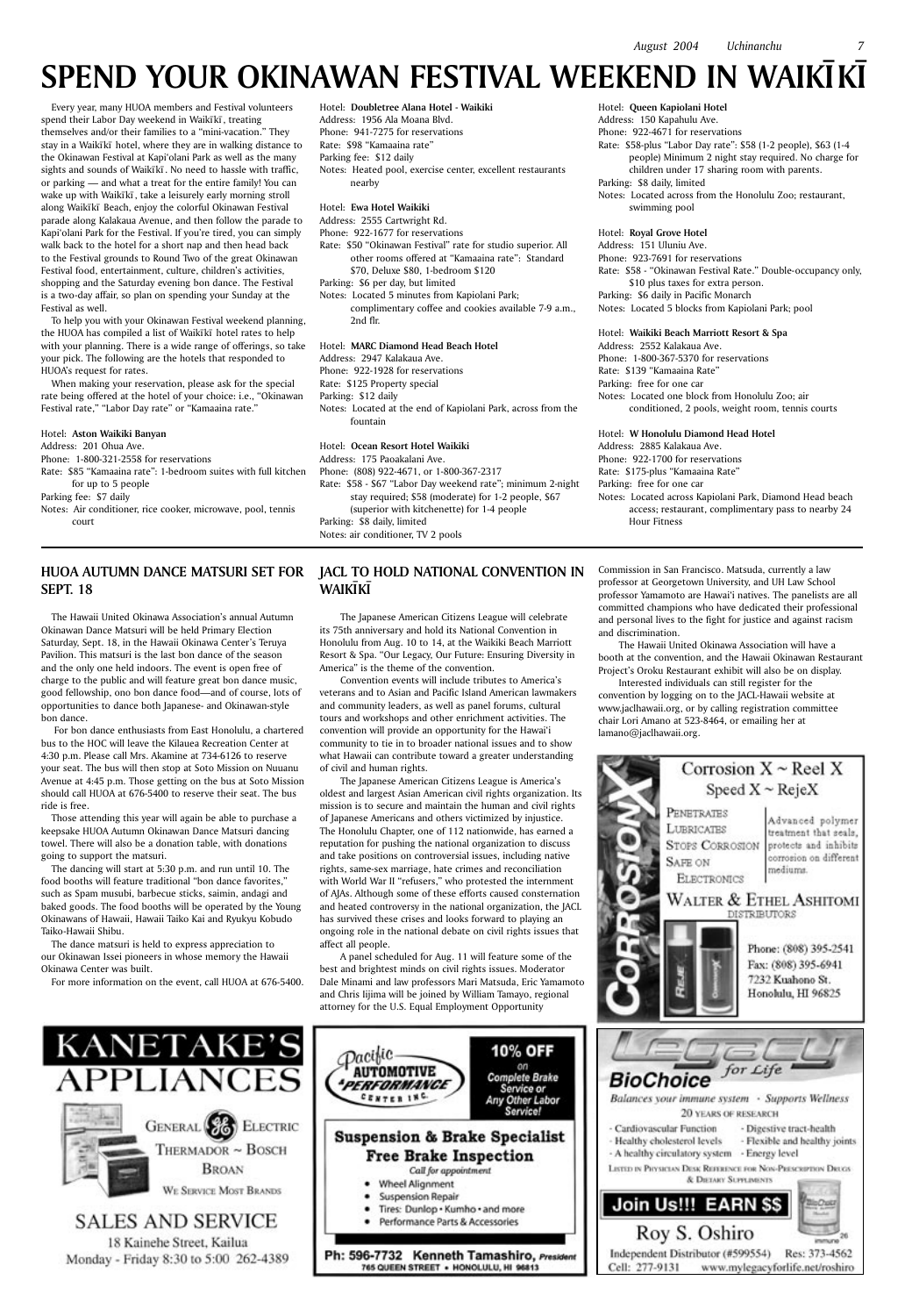Every year, many HUOA members and Festival volunteers spend their Labor Day weekend in Waikīkī, treating themselves and/or their families to a "mini-vacation." They stay in a Waikīkī hotel, where they are in walking distance to the Okinawan Festival at Kapi'olani Park as well as the many sights and sounds of Waikīkī. No need to hassle with traffic, or parking — and what a treat for the entire family! You can wake up with Waikīkī, take a leisurely early morning stroll along Waikīkī Beach, enjoy the colorful Okinawan Festival parade along Kalakaua Avenue, and then follow the parade to Kapi'olani Park for the Festival. If you're tired, you can simply walk back to the hotel for a short nap and then head back to the Festival grounds to Round Two of the great Okinawan Festival food, entertainment, culture, children's activities, shopping and the Saturday evening bon dance. The Festival is a two-day affair, so plan on spending your Sunday at the Festival as well.

To help you with your Okinawan Festival weekend planning, the HUOA has compiled a list of Waikīkī hotel rates to help with your planning. There is a wide range of offerings, so take your pick. The following are the hotels that responded to HUOA's request for rates.

When making your reservation, please ask for the special rate being offered at the hotel of your choice: i.e., "Okinawan Festival rate," "Labor Day rate" or "Kamaaina rate."

#### Hotel: **Aston Waikiki Banyan**

### Address: 201 Ohua Ave.

Phone: 1-800-321-2558 for reservations

Rate: \$85 "Kamaaina rate": 1-bedroom suites with full kitchen for up to 5 people

Parking fee: \$7 daily

Notes: Air conditioner, rice cooker, microwave, pool, tennis court

Hotel: **Doubletree Alana Hotel - Waikiki** Address: 1956 Ala Moana Blvd. Phone: 941-7275 for reservations

Rate: \$98 "Kamaaina rate" Parking fee: \$12 daily

Notes: Heated pool, exercise center, excellent restaurants nearby

### Hotel: **Ewa Hotel Waikiki**

Address: 2555 Cartwright Rd.

Phone: 922-1677 for reservations

### **HUOA AUTUMN DANCE MATSURI SET FOR JACL TO HOLD NATIONAL CONVENTION IN WAIKIKI**

Rate: \$50 "Okinawan Festival" rate for studio superior. All other rooms offered at "Kamaaina rate": Standard \$70, Deluxe \$80, 1-bedroom \$120

Parking: \$6 per day, but limited

Notes: Located 5 minutes from Kapiolani Park; complimentary coffee and cookies available 7-9 a.m., 2nd flr.

#### Hotel: **MARC Diamond Head Beach Hotel**

Address: 2947 Kalakaua Ave.

Phone: 922-1928 for reservations

Rate: \$125 Property special

Parking: \$12 daily

Notes: Located at the end of Kapiolani Park, across from the fountain

### Hotel: **Ocean Resort Hotel Waikiki**

Address: 175 Paoakalani Ave.

Phone: (808) 922-4671, or 1-800-367-2317

Rate: \$58 - \$67 "Labor Day weekend rate"; minimum 2-night stay required; \$58 (moderate) for 1-2 people, \$67 (superior with kitchenette) for 1-4 people Parking: \$8 daily, limited Notes: air conditioner, TV 2 pools

Hotel: **Queen Kapiolani Hotel** Address: 150 Kapahulu Ave. Phone: 922-4671 for reservations Rate: \$58-plus "Labor Day rate": \$58 (1-2 people), \$63 (1-4 people) Minimum 2 night stay required. No charge for children under 17 sharing room with parents. Parking: \$8 daily, limited Notes: Located across from the Honolulu Zoo; restaurant,

swimming pool

Hotel: **Royal Grove Hotel**

Address: 151 Uluniu Ave. Phone: 923-7691 for reservations Rate: \$58 - "Okinawan Festival Rate." Double-occupancy only, \$10 plus taxes for extra person. Parking: \$6 daily in Pacific Monarch Notes: Located 5 blocks from Kapiolani Park; pool

#### Hotel: **Waikiki Beach Marriott Resort & Spa**

Address: 2552 Kalakaua Ave. Phone: 1-800-367-5370 for reservations Rate: \$139 "Kamaaina Rate" Parking: free for one car Notes: Located one block from Honolulu Zoo; air conditioned, 2 pools, weight room, tennis courts

### Hotel: **W Honolulu Diamond Head Hotel**

Address: 2885 Kalakaua Ave. Phone: 922-1700 for reservations Rate: \$175-plus "Kamaaina Rate" Parking: free for one car Notes: Located across Kapiolani Park, Diamond Head beach access; restaurant, complimentary pass to nearby 24 Hour Fitness

### **SEPT. 18**

The Hawaii United Okinawa Association's annual Autumn Okinawan Dance Matsuri will be held Primary Election Saturday, Sept. 18, in the Hawaii Okinawa Center's Teruya Pavilion. This matsuri is the last bon dance of the season and the only one held indoors. The event is open free of charge to the public and will feature great bon dance music, good fellowship, ono bon dance food—and of course, lots of opportunities to dance both Japanese- and Okinawan-style bon dance.

 For bon dance enthusiasts from East Honolulu, a chartered bus to the HOC will leave the Kilauea Recreation Center at 4:30 p.m. Please call Mrs. Akamine at 734-6126 to reserve your seat. The bus will then stop at Soto Mission on Nuuanu Avenue at 4:45 p.m. Those getting on the bus at Soto Mission should call HUOA at 676-5400 to reserve their seat. The bus ride is free.

Those attending this year will again be able to purchase a keepsake HUOA Autumn Okinawan Dance Matsuri dancing towel. There will also be a donation table, with donations going to support the matsuri.

The dancing will start at 5:30 p.m. and run until 10. The food booths will feature traditional "bon dance favorites," such as Spam musubi, barbecue sticks, saimin, andagi and baked goods. The food booths will be operated by the Young Okinawans of Hawaii, Hawaii Taiko Kai and Ryukyu Kobudo Taiko-Hawaii Shibu.

The dance matsuri is held to express appreciation to our Okinawan Issei pioneers in whose memory the Hawaii Okinawa Center was built.

For more information on the event, call HUOA at 676-5400.

The Japanese American Citizens League will celebrate its 75th anniversary and hold its National Convention in Honolulu from Aug. 10 to 14, at the Waikiki Beach Marriott Resort & Spa. "Our Legacy, Our Future: Ensuring Diversity in America" is the theme of the convention.

Convention events will include tributes to America's veterans and to Asian and Pacific Island American lawmakers and community leaders, as well as panel forums, cultural tours and workshops and other enrichment activities. The convention will provide an opportunity for the Hawai'i community to tie in to broader national issues and to show what Hawaii can contribute toward a greater understanding of civil and human rights.

The Japanese American Citizens League is America's oldest and largest Asian American civil rights organization. Its mission is to secure and maintain the human and civil rights of Japanese Americans and others victimized by injustice. The Honolulu Chapter, one of 112 nationwide, has earned a reputation for pushing the national organization to discuss and take positions on controversial issues, including native rights, same-sex marriage, hate crimes and reconciliation with World War II "refusers," who protested the internment of AJAs. Although some of these efforts caused consternation and heated controversy in the national organization, the JACL has survived these crises and looks forward to playing an ongoing role in the national debate on civil rights issues that affect all people.

A panel scheduled for Aug. 11 will feature some of the best and brightest minds on civil rights issues. Moderator Dale Minami and law professors Mari Matsuda, Eric Yamamoto and Chris Iijima will be joined by William Tamayo, regional attorney for the U.S. Equal Employment Opportunity

Commission in San Francisco. Matsuda, currently a law professor at Georgetown University, and UH Law School professor Yamamoto are Hawai'i natives. The panelists are all committed champions who have dedicated their professional and personal lives to the fight for justice and against racism and discrimination.

The Hawaii United Okinawa Association will have a booth at the convention, and the Hawaii Okinawan Restaurant Project's Oroku Restaurant exhibit will also be on display.

Interested individuals can still register for the convention by logging on to the JACL-Hawaii website at www.jaclhawaii.org, or by calling registration committee chair Lori Amano at 523-8464, or emailing her at lamano@jaclhawaii.org.